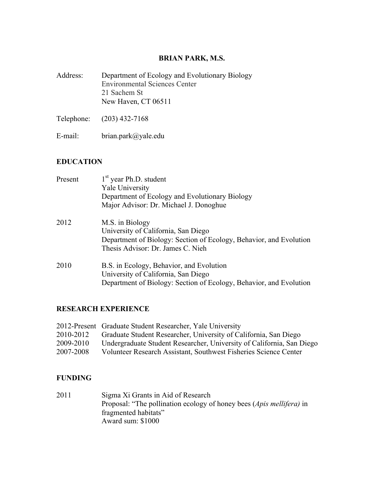# **BRIAN PARK, M.S.**

| Address: | Department of Ecology and Evolutionary Biology<br><b>Environmental Sciences Center</b> |
|----------|----------------------------------------------------------------------------------------|
|          | 21 Sachem St<br>New Haven, CT 06511                                                    |
|          | Telephone: (203) 432-7168                                                              |

E-mail: brian.park@yale.edu

# **EDUCATION**

| Present | $1st$ year Ph.D. student<br><b>Yale University</b><br>Department of Ecology and Evolutionary Biology<br>Major Advisor: Dr. Michael J. Donoghue                    |
|---------|-------------------------------------------------------------------------------------------------------------------------------------------------------------------|
| 2012    | M.S. in Biology<br>University of California, San Diego<br>Department of Biology: Section of Ecology, Behavior, and Evolution<br>Thesis Advisor: Dr. James C. Nieh |
| 2010    | B.S. in Ecology, Behavior, and Evolution<br>University of California, San Diego<br>Department of Biology: Section of Ecology, Behavior, and Evolution             |

## **RESEARCH EXPERIENCE**

|           | 2012-Present Graduate Student Researcher, Yale University             |
|-----------|-----------------------------------------------------------------------|
| 2010-2012 | Graduate Student Researcher, University of California, San Diego      |
| 2009-2010 | Undergraduate Student Researcher, University of California, San Diego |
| 2007-2008 | Volunteer Research Assistant, Southwest Fisheries Science Center      |

#### **FUNDING**

2011 Sigma Xi Grants in Aid of Research Proposal: "The pollination ecology of honey bees (*Apis mellifera)* in fragmented habitats" Award sum: \$1000